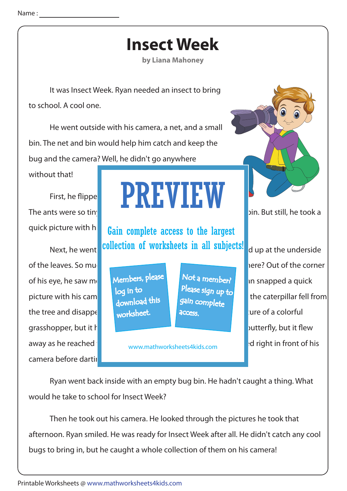## **Insect Week**

**by Liana Mahoney**

 It was Insect Week. Ryan needed an insect to bring to school. A cool one.

 He went outside with his camera, a net, and a small bin. The net and bin would help him catch and keep the bug and the camera? Well, he didn't go anywhere

without that!

quick picture with hi

of his eye, he saw movement of the trunk of the trunk of his eye, he saw movement of the trunk.  $\frac{1}{2}$  a caterpillar snapped a quick. the tree and disappending in the grass. In the grass in the grass in the grass in the grass in the grass in the grass in the grass in the grass in the grass in the grass in the grass in the grass in the grass in the grass grasshopper, but it hopped and away. He took a picture of a spotted butterfly, but it flew away as he reached  $\frac{1}{2}$  is neuros thus keeperalide can build right in front of his camera before darting

## First, he flipped over  $\blacksquare$  and  $\blacksquare$  and  $\blacksquare$  and  $\blacksquare$  and  $\blacksquare$  and  $\blacksquare$  and  $\blacksquare$  and  $\blacksquare$  and  $\blacksquare$  and  $\blacksquare$  and  $\blacksquare$  and  $\blacksquare$  and  $\blacksquare$  and  $\blacksquare$  and  $\blacksquare$  and  $\blacksquare$  and  $\blacksquare$  and  $\blacksquare$  and The ants were so tiny the above from the able took a set of the still, he took a PREVIEW

Next, he went collection of worksheets in all subjects! dup at the underside Gain complete access to the largest

> Members, please download this worksheet. log in to

Not a member? gain complete Please sign up to **access** 

www.mathworksheets4kids.com



of the leaves. So much green in the ever spot and insect here? Out of the corner picture with his camera. The tried to caterpillar fell from

 Ryan went back inside with an empty bug bin. He hadn't caught a thing. What would he take to school for Insect Week?

 Then he took out his camera. He looked through the pictures he took that afternoon. Ryan smiled. He was ready for Insect Week after all. He didn't catch any cool bugs to bring in, but he caught a whole collection of them on his camera!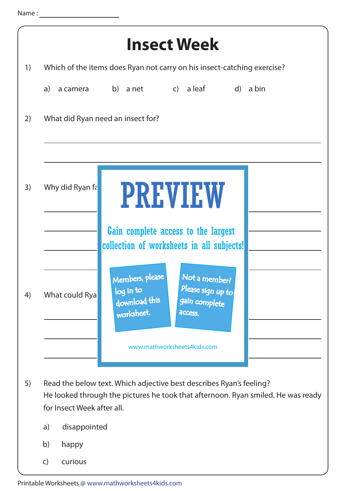| <b>Insect Week</b> |                                                                                                                                                                                                                                                                    |  |  |  |  |  |  |
|--------------------|--------------------------------------------------------------------------------------------------------------------------------------------------------------------------------------------------------------------------------------------------------------------|--|--|--|--|--|--|
| 1)                 | Which of the items does Ryan not carry on his insect-catching exercise?                                                                                                                                                                                            |  |  |  |  |  |  |
|                    | a camera b) a net c) a leaf<br>d) a bin<br>a)                                                                                                                                                                                                                      |  |  |  |  |  |  |
| 2)                 | What did Ryan need an insect for?                                                                                                                                                                                                                                  |  |  |  |  |  |  |
| 3)                 | Why did Ryan fa<br><b>PREVIEW</b>                                                                                                                                                                                                                                  |  |  |  |  |  |  |
| 4)                 | Gain complete access to the largest<br>collection of worksheets in all subjects!<br>Not a member?<br>Members, please<br>Please sign up to<br>log in to<br>What could Rya<br>download this<br>gain complete<br>worksheet.<br>access.<br>www.mathworksheets4kids.com |  |  |  |  |  |  |
| 5)                 | Read the below text. Which adjective best describes Ryan's feeling?<br>He looked through the pictures he took that afternoon. Ryan smiled. He was ready<br>for Insect Week after all.<br>disappointed<br>a)<br>b)<br>happy<br>curious<br>$\mathsf{C}$              |  |  |  |  |  |  |